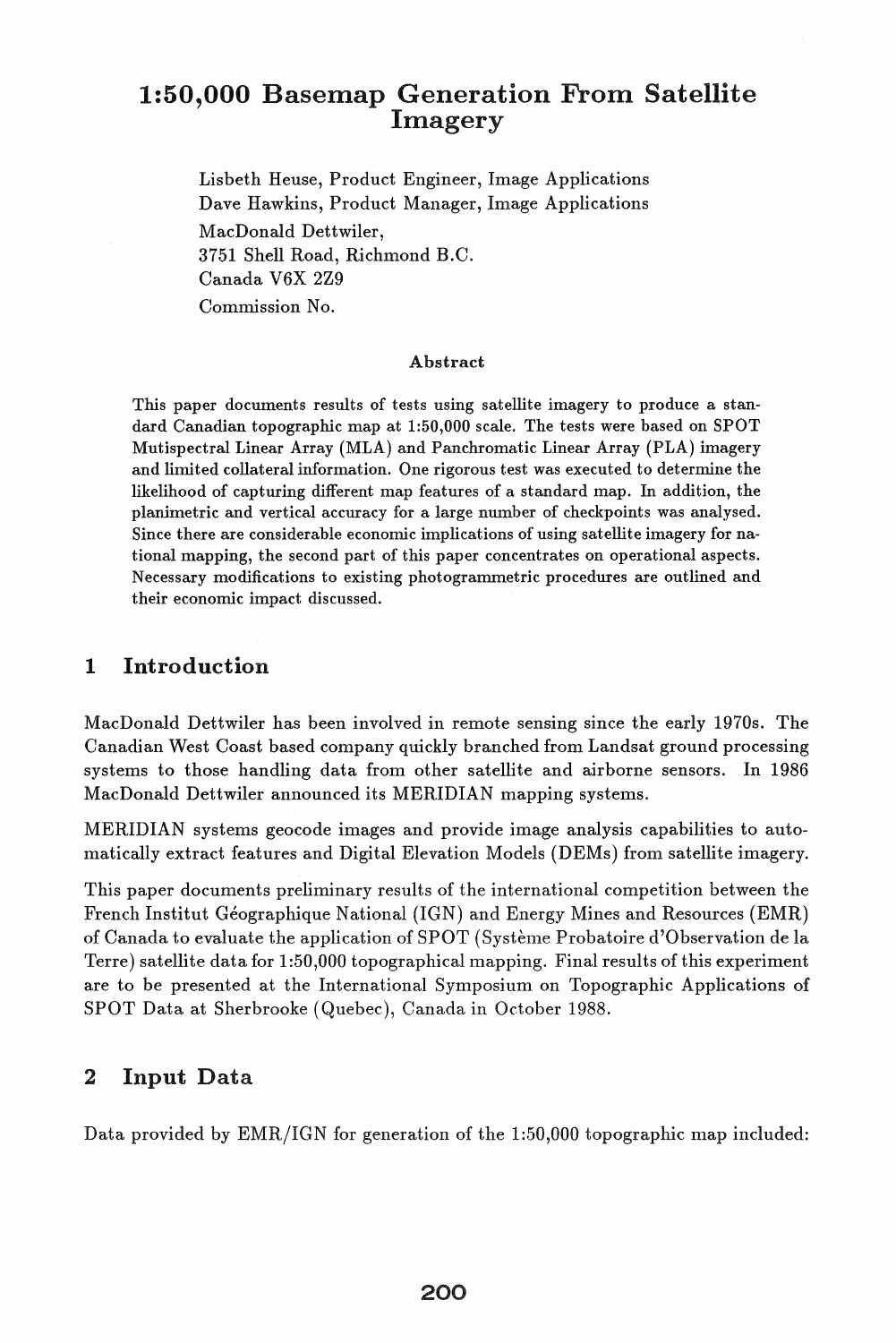# 1:50,000 Basemap Generation From Satellite Imagery

Lisbeth Heuse, Product Engineer, Image Applications Dave Hawkins, Product Manager, Image Applications MacDonald Dettwiler, 3751 Shell Road, Richmond B.C. Canada V6X 2Z9 Commission No.

#### Abstract

This paper documents results of tests using satellite imagery to produce a standard Canadian topographic map at 1:50,000 scale. The tests were based on SPOT Mutispectral Linear Array (MLA) and Panchromatic Linear Array (PLA) imagery and limited collateral information. One rigorous test was executed to determine the likelihood of capturing different map features of a standard map. In addition, the planimetric and vertical accuracy for a large number of checkpoints was analysed. Since there are considerable economic implications of using satellite imagery for national mapping, the second part of this paper concentrates on operational aspects. Necessary modifications to existing photogrammetric procedures are outlined and their economic impact discussed.

### 1 Introduction

MacDonald Dettwiler has been involved in remote sensing since the early 1970s. The Canadian West Coast based company quickly branched from Landsat ground processing systems to those handling data from other satellite and airborne sensors. In 1986 MacDonald Dettwiler announced its MERIDIAN mapping systems.

MERIDIAN systems geocode images and provide image analysis capabilities to automatically extract features and Digital Elevation Models (DEMs) from satellite imagery.

This paper documents preliminary results of the international competition between the French Institut Géographique National (IGN) and Energy Mines and Resources (EMR) of Canada to evaluate the application of SPOT (Systeme Probatoire d'Observation de la Terre) satellite data for 1 :50,000 topographical mapping. Final results of this experiment are to be presented at the International Symposium on Topographic Applications of SPOT Data at Sherbrooke (Quebec), Canada in October 1988.

### 2 Input Data

Data provided by EMR/IGN for generation of the 1:50,000 topographic map included: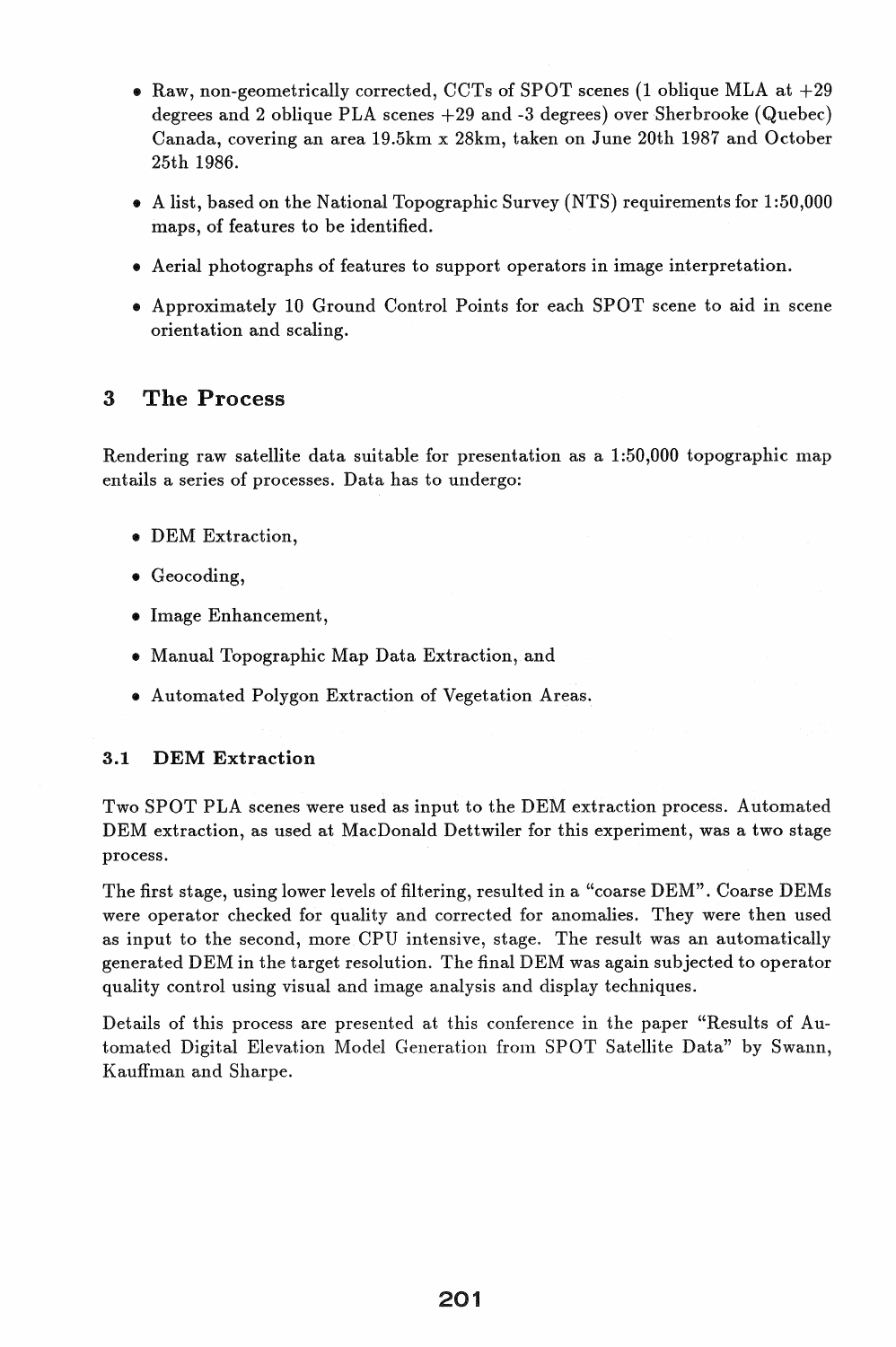- Raw, non-geometrically corrected, CCTs of SPOT scenes (1 oblique MLA at  $+29$ degrees and 2 oblique PLA scenes  $+29$  and  $-3$  degrees) over Sherbrooke (Quebec) Canada, covering an area 19.5km x 28km, taken on June 20th 1987 and October 25th 1986.
- .. A list, based on the National Topographic Survey (NTS) requirements for 1:50,000 maps, of features to be identified.
- .. Aerial photographs of features to support operators in image interpretation .
- .. Approximately 10 Ground Control Points for each SPOT scene to aid in scene orientation and scaling.

## 3 The Process

Rendering raw satellite data suitable for presentation as a  $1:50,000$  topographic map entails a series of processes. Data has to undergo:

- .. DEM Extraction,
- .. Geocoding,
- .. Image Enhancement,
- .. Manual Topographic Map Data Extraction, and
- .. Automated Polygon Extraction of Vegetation Areas.

#### 3.1 DEM Extraction

Two SPOT PLA scenes were used as input to the DEM extraction process. Automated DEM extraction, as used at MacDonald Dettwiler for this experiment, was a two stage process.

The first stage, using lower levels of filtering, resulted in a "coarse DEM". Coarse DEMs were operator checked for quality and corrected for anomalies. They were then used as input to the second, more CPU intensive, stage. The result was an automatically generated DEM in the target resolution. The final DEM was again subjected to operator quality control using visual and image analysis and display techniques.

Details of this process are presented at this conference in the paper "Results of Automated Digital Elevation Model Generation from SPOT Satellite Data" by Swann, Kauffman and Sharpe.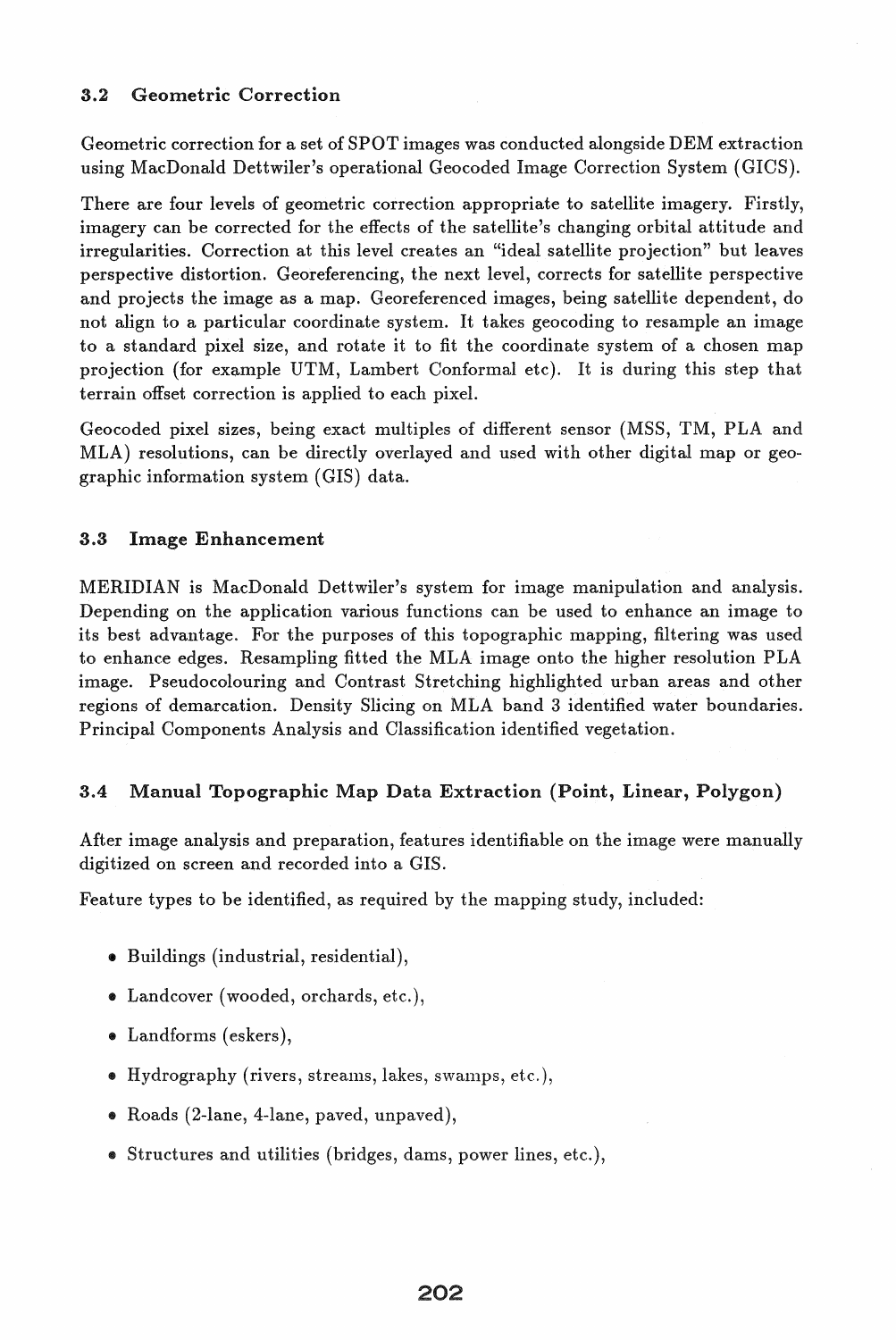#### 3.2 Geometric Correction

Geometric correction for a set of SPOT images was conducted alongside DEM extraction using MacDonald Dettwiler's operational Geocoded Image Correction System (GICS).

There are four levels of geometric correction appropriate to satellite imagery. Firstly, imagery can be corrected for the effects of the satellite's changing orbital attitude and irregularities. Correction at this level creates an "ideal satellite projection" but leaves perspective distortion. Georeferencing, the next level, corrects for satellite perspective and projects the image as a map. Georeferenced images, being satellite dependent, do not align to a particular coordinate system. It takes geocoding to resample an image to a standard pixel size, and rotate it to fit the coordinate system of a chosen map projection (for example UTM, Lambert Conformal etc). It is during this step that terrain offset correction is applied to each pixel.

Geocoded pixel sizes, being exact multiples of different sensor (MSS, TM, PLA and MLA) resolutions, can be directly overlayed and used with other digital map or geographic information system (GIS) data.

#### 3.3 Image Enhancement

MERIDIAN is MacDonald Dettwiler's system for image manipulation and analysis. Depending on the application various functions can be used to enhance an image to its best advantage. For the purposes of this topographic mapping, filtering was used to enhance edges. Resampling fitted the MLA image onto the higher resolution PLA image. Pseudocolouring and Contrast Stretching highlighted urban areas and other regions of demarcation. Density Slicing on MLA band 3 identified water boundaries. Principal Components Analysis and Classification identified vegetation.

#### 3.4 Manual Topographic Map Data Extraction (Point, Linear, Polygon)

After image analysis and preparation, features identifiable on the image were manually digitized on screen and recorded into a GIS.

Feature types to be identified, as required by the mapping study, included:

- Buildings (industrial, residential),
- Landcover (wooded, orchards, etc.),
- Landforms (eskers),
- Hydrography (rivers, streams, lakes, swamps, etc.),
- Roads (2-lane, 4-lane, paved, unpaved),
- Structures and utilities (bridges, dams, power lines, etc.),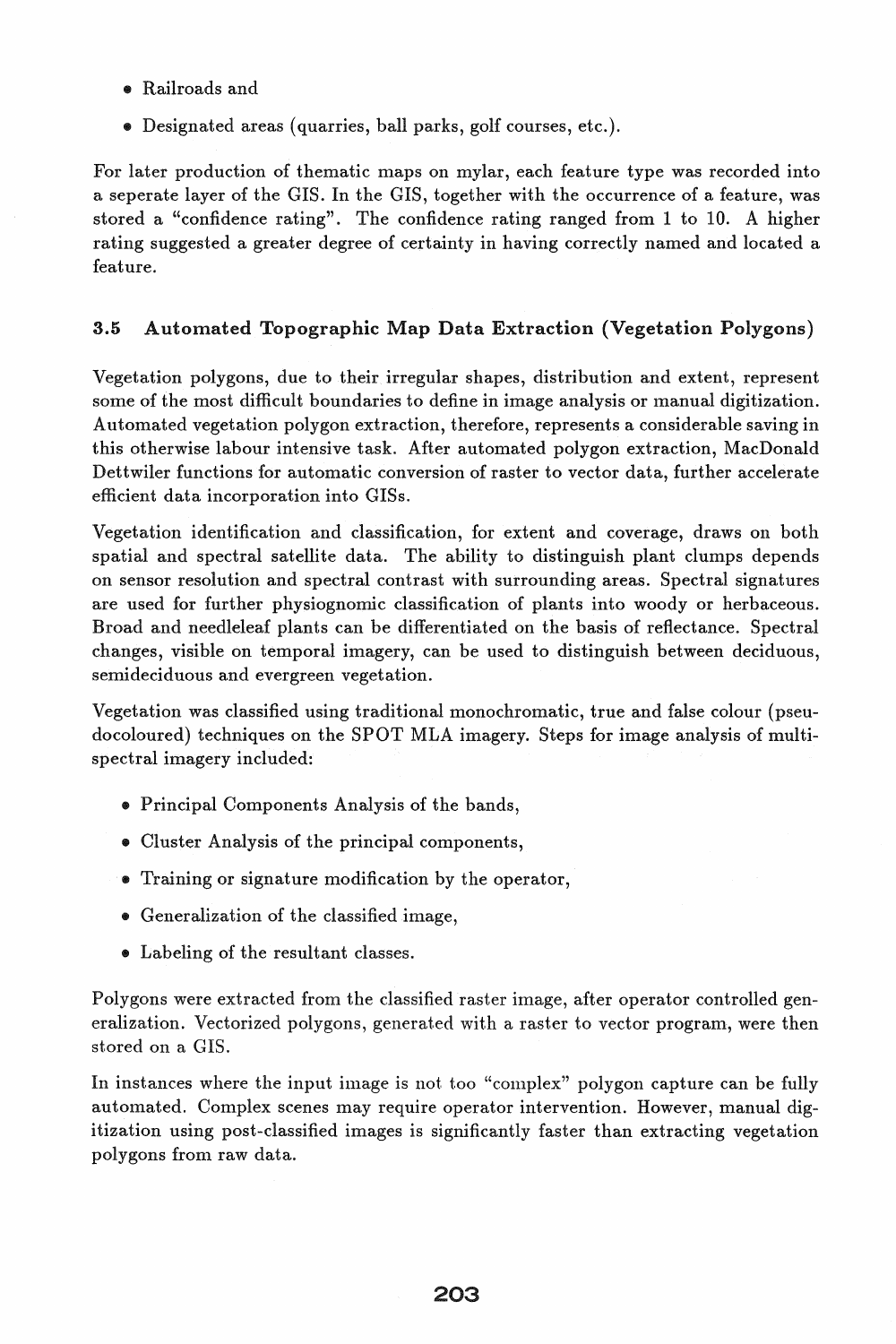- Railroads and
- Designated areas (quarries, ball parks, golf courses, etc.).

For later production of thematic maps on mylar, each feature type was recorded into a seperate layer of the GIS. In the GIS, together with the occurrence of a feature, was stored a "confidence rating". The confidence rating ranged from 1 to 10. A higher rating suggested a greater degree of certainty in having correctly named and located a feature.

### 3.5 Automated Topographic Map Data Extraction (Vegetation Polygons)

Vegetation polygons, due to their irregular shapes, distribution and extent, represent some of the most difficult boundaries to define in image analysis or manual digitization. Automated vegetation polygon extraction, therefore, represents a considerable saving in this otherwise labour intensive task. After automated polygon extraction, MacDonald Dettwiler functions for automatic conversion of raster to vector data, further accelerate efficient data incorporation into GISs.

Vegetation identification and classification, for extent and coverage, draws on both spatial and spectral satellite data. The ability to distinguish plant clumps depends on sensor resolution and spectral contrast with surrounding areas. Spectral signatures are used for further physiognomic classification of plants into woody or herbaceous. Broad and needleleaf plants can be differentiated on the basis of reflectance. Spectral changes, visible on temporal imagery, can be used to distinguish between deciduous, semideciduous and evergreen vegetation.

Vegetation was classified using traditional monochromatic, true and false colour (pseudocoloured) techniques on the SPOT MLA imagery. Steps for image analysis of multispectral imagery included:

- Principal Components Analysis of the bands,
- Cluster Analysis of the principal components,
- Training or signature modification by the operator,
- Generalization of the classified image,
- Labeling of the resultant classes.

Polygons were extracted from the classified raster image, after operator controlled generalization. Vectorized polygons, generated with a raster to vector program, were then stored on a GIS.

In instances where the input image is not too "complex" polygon capture can be fully automated. Complex scenes may require operator intervention. However, manual digitization using post-classified images is significantly faster than extracting vegetation polygons from raw data.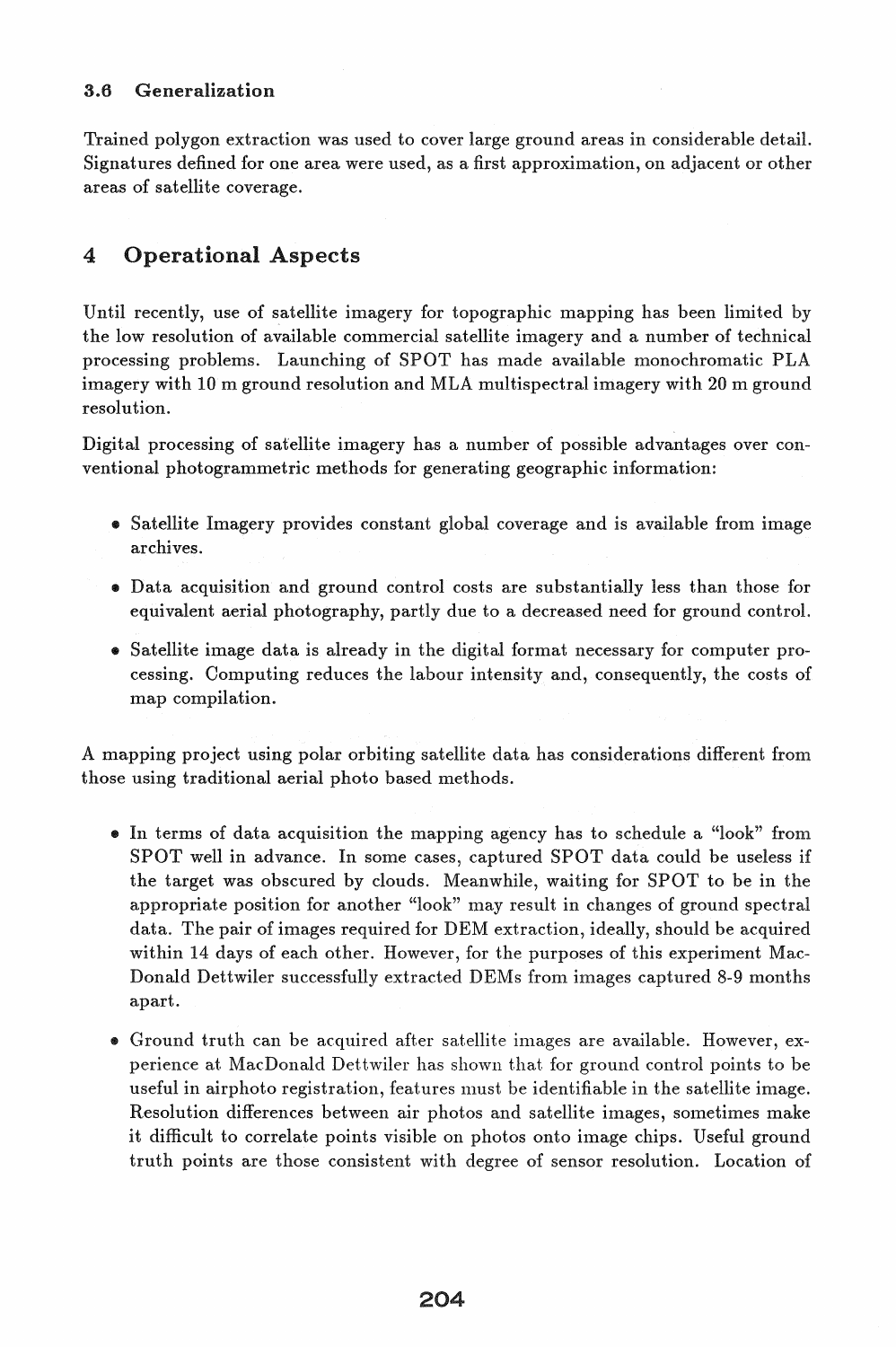#### 3.6 Generalization

Trained polygon extraction was used to cover large ground areas in considerable detail. Signatures defined for one area were used, as a first approximation, on adjacent or other areas of satellite coverage.

# 4 Operational Aspects

Until recently, use of satellite imagery for topographic mapping has been limited by the low resolution of available commercial satellite imagery and a number of technical processing problems. Launching of SPOT has made available monochromatic PLA imagery with 10 m ground resolution and MLA multispectral imagery with 20 m ground resolution.

Digital processing of satellite imagery has a number of possible advantages over conventional photogrammetric methods for generating geographic information:

- Satellite Imagery provides constant global coverage and is available from image archives.
- Data acquisition and ground control costs are substantially less than those for equivalent aerial photography, partly due to a decreased need for ground control.
- Satellite image data is already in the digital format necessary for computer processing. Computing reduces the labour intensity and, consequently, the costs of map compilation.

A mapping project using polar orbiting satellite data has considerations different from those using traditional aerial photo based methods.

- In terms of data acquisition the mapping agency has to schedule a "look" from SPOT well in advance. In some cases, captured SPOT data could be useless if the target was obscured by clouds. Meanwhile, waiting for SPOT to be in the appropriate position for another "look" may result in changes of ground spectral data. The pair of images required for DEM extraction, ideally, should be acquired within 14 days of each other. However, for the purposes of this experiment Mac-Donald Dettwiler successfully extracted DEMs from images captured 8-9 months apart.
- Ground truth can be acquired after satellite images are available. However, experience at MacDonald Dettwiler has shown that for ground control points to be useful in airphoto registration, features must be identifiable in the satellite image. Resolution differences between air photos and satellite images, sometimes make it difficult to correlate points visible on photos onto image chips. Useful ground truth points are those consistent with degree of sensor resolution. Location of